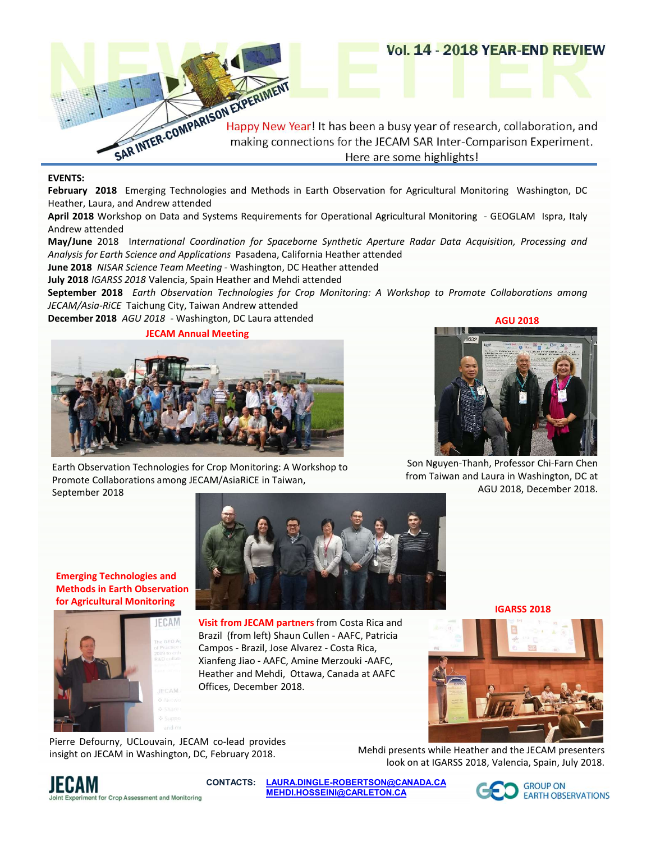

## EVENTS:

JECAM Annual Meeting



Earth Observation Technologies for Crop Monitoring: A Workshop to Promote Collaborations among JECAM/AsiaRiCE in Taiwan, September 2018



AGU 2018

Son Nguyen-Thanh, Professor Chi-Farn Chen from Taiwan and Laura in Washington, DC at AGU 2018, December 2018.

Emerging Technologies and Methods in Earth Observation for Agricultural Monitoring





Visit from JECAM partners from Costa Rica and Heather and Mehdi, Ottawa, Canada at AAFC Offices, December 2018.

IGARSS 2018



look on at IGARSS 2018, Valencia, Spain, July 2018.



CONTACTS: LAURA.DINGLE-ROBERTSON@CANADA.CA GROUP ON MEHDI.HOSSEINI@CARLETON.CA EARTH OBSERVATIONS